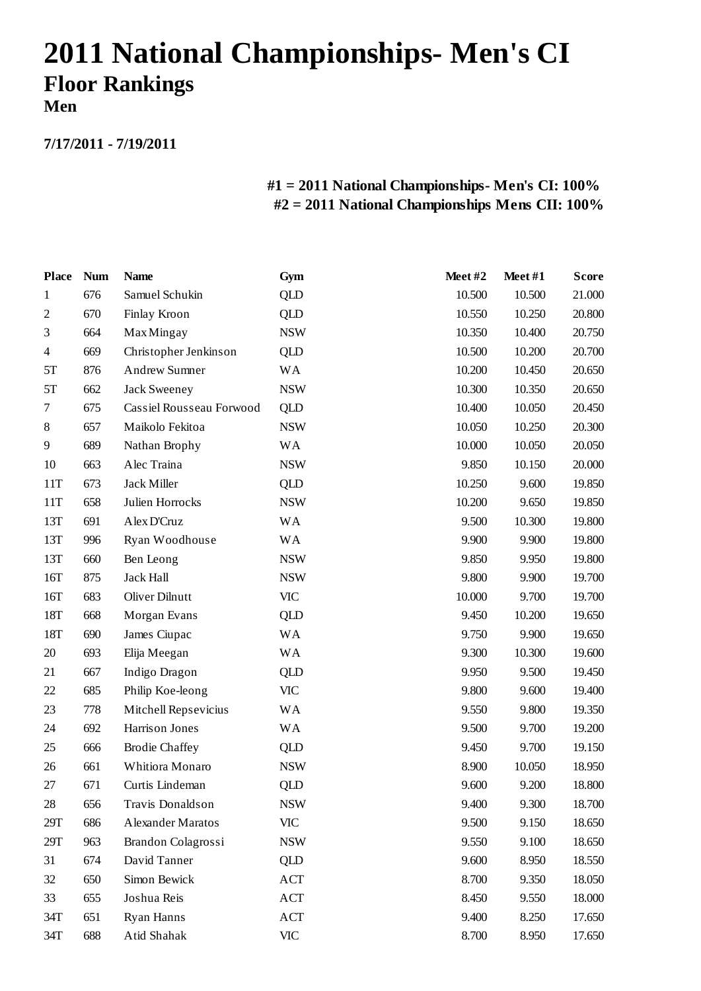# **2011 National Championships- Men's CI Floor Rankings Men**

**7/17/2011 - 7/19/2011**

| <b>Place</b>     | <b>Num</b> | <b>Name</b>              | Gym        | Meet#2 | Meet#1 | <b>Score</b> |
|------------------|------------|--------------------------|------------|--------|--------|--------------|
| $\mathbf{1}$     | 676        | Samuel Schukin           | <b>QLD</b> | 10.500 | 10.500 | 21.000       |
| $\boldsymbol{2}$ | 670        | Finlay Kroon             | QLD        | 10.550 | 10.250 | 20.800       |
| 3                | 664        | <b>Max Mingay</b>        | <b>NSW</b> | 10.350 | 10.400 | 20.750       |
| 4                | 669        | Christopher Jenkinson    | <b>QLD</b> | 10.500 | 10.200 | 20.700       |
| 5T               | 876        | Andrew Sumner            | <b>WA</b>  | 10.200 | 10.450 | 20.650       |
| 5T               | 662        | Jack Sweeney             | <b>NSW</b> | 10.300 | 10.350 | 20.650       |
| 7                | 675        | Cassiel Rousseau Forwood | <b>QLD</b> | 10.400 | 10.050 | 20.450       |
| 8                | 657        | Maikolo Fekitoa          | <b>NSW</b> | 10.050 | 10.250 | 20.300       |
| 9                | 689        | Nathan Brophy            | <b>WA</b>  | 10.000 | 10.050 | 20.050       |
| 10               | 663        | Alec Traina              | <b>NSW</b> | 9.850  | 10.150 | 20.000       |
| 11T              | 673        | Jack Miller              | QLD        | 10.250 | 9.600  | 19.850       |
| 11T              | 658        | Julien Horrocks          | <b>NSW</b> | 10.200 | 9.650  | 19.850       |
| 13T              | 691        | Alex D'Cruz              | <b>WA</b>  | 9.500  | 10.300 | 19.800       |
| 13T              | 996        | Ryan Woodhouse           | <b>WA</b>  | 9.900  | 9.900  | 19.800       |
| 13T              | 660        | Ben Leong                | <b>NSW</b> | 9.850  | 9.950  | 19.800       |
| 16T              | 875        | <b>Jack Hall</b>         | <b>NSW</b> | 9.800  | 9.900  | 19.700       |
| 16T              | 683        | <b>Oliver Dilnutt</b>    | <b>VIC</b> | 10.000 | 9.700  | 19.700       |
| 18T              | 668        | Morgan Evans             | QLD        | 9.450  | 10.200 | 19.650       |
| 18T              | 690        | James Ciupac             | <b>WA</b>  | 9.750  | 9.900  | 19.650       |
| 20               | 693        | Elija Meegan             | <b>WA</b>  | 9.300  | 10.300 | 19.600       |
| 21               | 667        | Indigo Dragon            | QLD        | 9.950  | 9.500  | 19.450       |
| 22               | 685        | Philip Koe-leong         | <b>VIC</b> | 9.800  | 9.600  | 19.400       |
| 23               | 778        | Mitchell Repsevicius     | <b>WA</b>  | 9.550  | 9.800  | 19.350       |
| 24               | 692        | Harrison Jones           | <b>WA</b>  | 9.500  | 9.700  | 19.200       |
| 25               | 666        | <b>Brodie Chaffey</b>    | QLD        | 9.450  | 9.700  | 19.150       |
| 26               | 661        | Whitiora Monaro          | <b>NSW</b> | 8.900  | 10.050 | 18.950       |
| 27               | 671        | Curtis Lindeman          | <b>QLD</b> | 9.600  | 9.200  | 18.800       |
| 28               | 656        | Travis Donaldson         | <b>NSW</b> | 9.400  | 9.300  | 18.700       |
| 29T              | 686        | Alexander Maratos        | <b>VIC</b> | 9.500  | 9.150  | 18.650       |
| 29T              | 963        | Brandon Colagrossi       | <b>NSW</b> | 9.550  | 9.100  | 18.650       |
| 31               | 674        | David Tanner             | QLD        | 9.600  | 8.950  | 18.550       |
| 32               | 650        | Simon Bewick             | ACT        | 8.700  | 9.350  | 18.050       |
| 33               | 655        | Joshua Reis              | ACT        | 8.450  | 9.550  | 18.000       |
| 34T              | 651        | Ryan Hanns               | ACT        | 9.400  | 8.250  | 17.650       |
| 34T              | 688        | Atid Shahak              | <b>VIC</b> | 8.700  | 8.950  | 17.650       |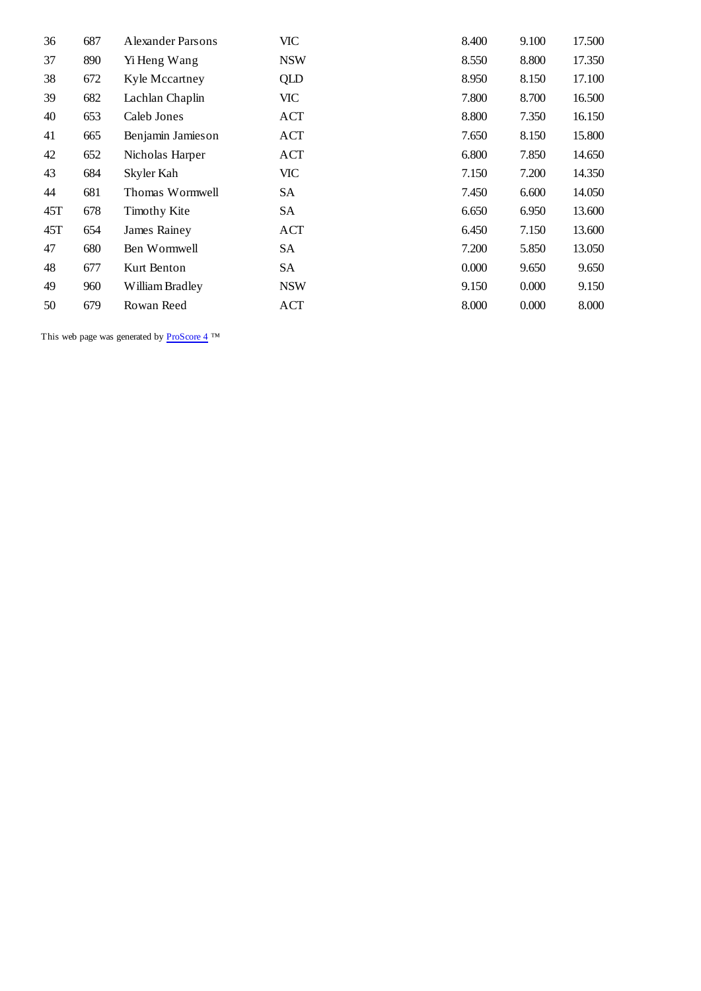| 36  | 687 | Alexander Parsons   | <b>VIC</b> | 8.400 | 9.100 | 17.500 |
|-----|-----|---------------------|------------|-------|-------|--------|
| 37  | 890 | Yi Heng Wang        | <b>NSW</b> | 8.550 | 8.800 | 17.350 |
| 38  | 672 | Kyle Mccartney      | QLD        | 8.950 | 8.150 | 17.100 |
| 39  | 682 | Lachlan Chaplin     | VIC        | 7.800 | 8.700 | 16.500 |
| 40  | 653 | Caleb Jones         | ACT        | 8.800 | 7.350 | 16.150 |
| 41  | 665 | Benjamin Jamieson   | ACT        | 7.650 | 8.150 | 15.800 |
| 42  | 652 | Nicholas Harper     | ACT        | 6.800 | 7.850 | 14.650 |
| 43  | 684 | Skyler Kah          | VIC-       | 7.150 | 7.200 | 14.350 |
| 44  | 681 | Thomas Wormwell     | SA         | 7.450 | 6.600 | 14.050 |
| 45T | 678 | <b>Timothy Kite</b> | SA         | 6.650 | 6.950 | 13.600 |
| 45T | 654 | James Rainey        | ACT        | 6.450 | 7.150 | 13.600 |
| 47  | 680 | Ben Wormwell        | SA         | 7.200 | 5.850 | 13.050 |
| 48  | 677 | Kurt Benton         | SA         | 0.000 | 9.650 | 9.650  |
| 49  | 960 | William Bradley     | <b>NSW</b> | 9.150 | 0.000 | 9.150  |
| 50  | 679 | Rowan Reed          | <b>ACT</b> | 8.000 | 0.000 | 8.000  |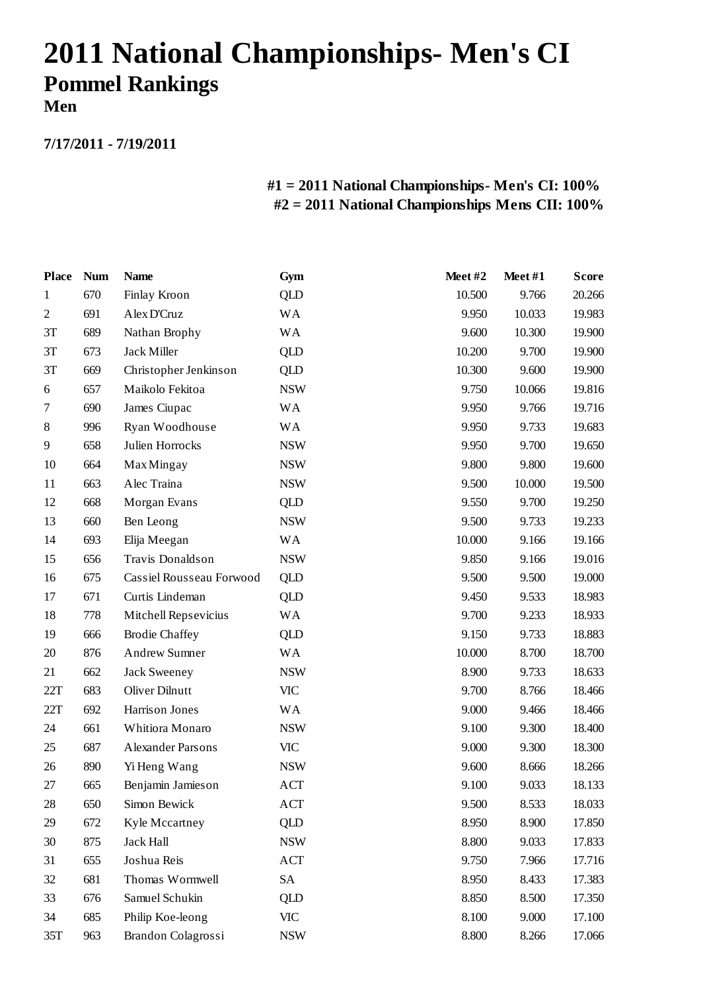# **2011 National Championships- Men's CI Pommel Rankings**

**Men**

**7/17/2011 - 7/19/2011**

| <b>Place</b> | <b>Num</b> | <b>Name</b>              | Gym        | Meet#2 | Meet#1 | <b>Score</b> |
|--------------|------------|--------------------------|------------|--------|--------|--------------|
| 1            | 670        | Finlay Kroon             | <b>QLD</b> | 10.500 | 9.766  | 20.266       |
| $\sqrt{2}$   | 691        | Alex D'Cruz              | <b>WA</b>  | 9.950  | 10.033 | 19.983       |
| 3T           | 689        | Nathan Brophy            | <b>WA</b>  | 9.600  | 10.300 | 19.900       |
| 3T           | 673        | Jack Miller              | QLD        | 10.200 | 9.700  | 19.900       |
| 3T           | 669        | Christopher Jenkinson    | QLD        | 10.300 | 9.600  | 19.900       |
| 6            | 657        | Maikolo Fekitoa          | <b>NSW</b> | 9.750  | 10.066 | 19.816       |
| 7            | 690        | James Ciupac             | <b>WA</b>  | 9.950  | 9.766  | 19.716       |
| 8            | 996        | Ryan Woodhouse           | <b>WA</b>  | 9.950  | 9.733  | 19.683       |
| 9            | 658        | Julien Horrocks          | <b>NSW</b> | 9.950  | 9.700  | 19.650       |
| 10           | 664        | <b>Max Mingay</b>        | <b>NSW</b> | 9.800  | 9.800  | 19.600       |
| 11           | 663        | Alec Traina              | <b>NSW</b> | 9.500  | 10.000 | 19.500       |
| 12           | 668        | Morgan Evans             | QLD        | 9.550  | 9.700  | 19.250       |
| 13           | 660        | Ben Leong                | <b>NSW</b> | 9.500  | 9.733  | 19.233       |
| 14           | 693        | Elija Meegan             | <b>WA</b>  | 10.000 | 9.166  | 19.166       |
| 15           | 656        | Travis Donaldson         | <b>NSW</b> | 9.850  | 9.166  | 19.016       |
| 16           | 675        | Cassiel Rousseau Forwood | <b>QLD</b> | 9.500  | 9.500  | 19.000       |
| 17           | 671        | Curtis Lindeman          | <b>QLD</b> | 9.450  | 9.533  | 18.983       |
| 18           | 778        | Mitchell Repsevicius     | WA         | 9.700  | 9.233  | 18.933       |
| 19           | 666        | <b>Brodie Chaffey</b>    | QLD        | 9.150  | 9.733  | 18.883       |
| 20           | 876        | Andrew Sumner            | <b>WA</b>  | 10.000 | 8.700  | 18.700       |
| 21           | 662        | Jack Sweeney             | <b>NSW</b> | 8.900  | 9.733  | 18.633       |
| 22T          | 683        | Oliver Dilnutt           | <b>VIC</b> | 9.700  | 8.766  | 18.466       |
| 22T          | 692        | Harrison Jones           | <b>WA</b>  | 9.000  | 9.466  | 18.466       |
| 24           | 661        | Whitiora Monaro          | <b>NSW</b> | 9.100  | 9.300  | 18.400       |
| 25           | 687        | Alexander Parsons        | <b>VIC</b> | 9.000  | 9.300  | 18.300       |
| 26           | 890        | Yi Heng Wang             | <b>NSW</b> | 9.600  | 8.666  | 18.266       |
| 27           | 665        | Benjamin Jamieson        | ACT        | 9.100  | 9.033  | 18.133       |
| 28           | 650        | Simon Bewick             | ACT        | 9.500  | 8.533  | 18.033       |
| 29           | 672        | Kyle Mccartney           | <b>QLD</b> | 8.950  | 8.900  | 17.850       |
| 30           | 875        | Jack Hall                | <b>NSW</b> | 8.800  | 9.033  | 17.833       |
| 31           | 655        | Joshua Reis              | ACT        | 9.750  | 7.966  | 17.716       |
| 32           | 681        | Thomas Wormwell          | SA         | 8.950  | 8.433  | 17.383       |
| 33           | 676        | Samuel Schukin           | <b>QLD</b> | 8.850  | 8.500  | 17.350       |
| 34           | 685        | Philip Koe-leong         | <b>VIC</b> | 8.100  | 9.000  | 17.100       |
| 35T          | 963        | Brandon Colagrossi       | <b>NSW</b> | 8.800  | 8.266  | 17.066       |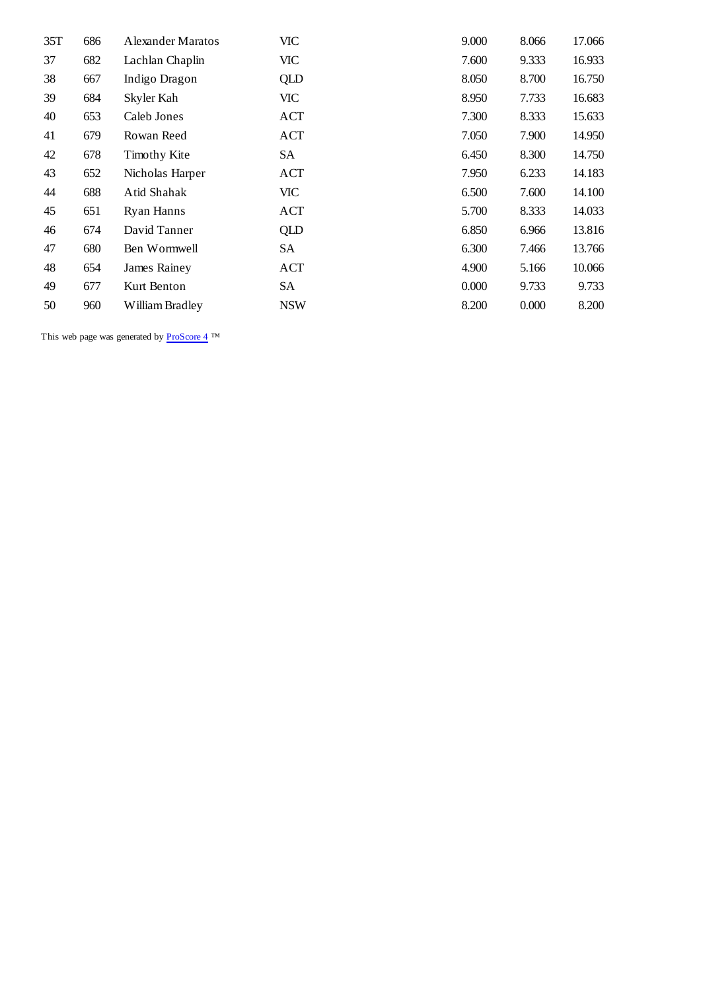| 35T | 686 | Alexander Maratos   | <b>VIC</b> | 9.000 | 8.066 | 17.066 |
|-----|-----|---------------------|------------|-------|-------|--------|
| 37  | 682 | Lachlan Chaplin     | <b>VIC</b> | 7.600 | 9.333 | 16.933 |
| 38  | 667 | Indigo Dragon       | QLD        | 8.050 | 8.700 | 16.750 |
| 39  | 684 | Skyler Kah          | VIC        | 8.950 | 7.733 | 16.683 |
| 40  | 653 | Caleb Jones         | ACT        | 7.300 | 8.333 | 15.633 |
| 41  | 679 | Rowan Reed          | ACT        | 7.050 | 7.900 | 14.950 |
| 42  | 678 | <b>Timothy Kite</b> | SA         | 6.450 | 8.300 | 14.750 |
| 43  | 652 | Nicholas Harper     | ACT        | 7.950 | 6.233 | 14.183 |
| 44  | 688 | Atid Shahak         | VIC        | 6.500 | 7.600 | 14.100 |
| 45  | 651 | <b>Ryan Hanns</b>   | ACT        | 5.700 | 8.333 | 14.033 |
| 46  | 674 | David Tanner        | QLD        | 6.850 | 6.966 | 13.816 |
| 47  | 680 | Ben Wormwell        | SA         | 6.300 | 7.466 | 13.766 |
| 48  | 654 | James Rainey        | ACT        | 4.900 | 5.166 | 10.066 |
| 49  | 677 | Kurt Benton         | SА         | 0.000 | 9.733 | 9.733  |
| 50  | 960 | William Bradley     | <b>NSW</b> | 8.200 | 0.000 | 8.200  |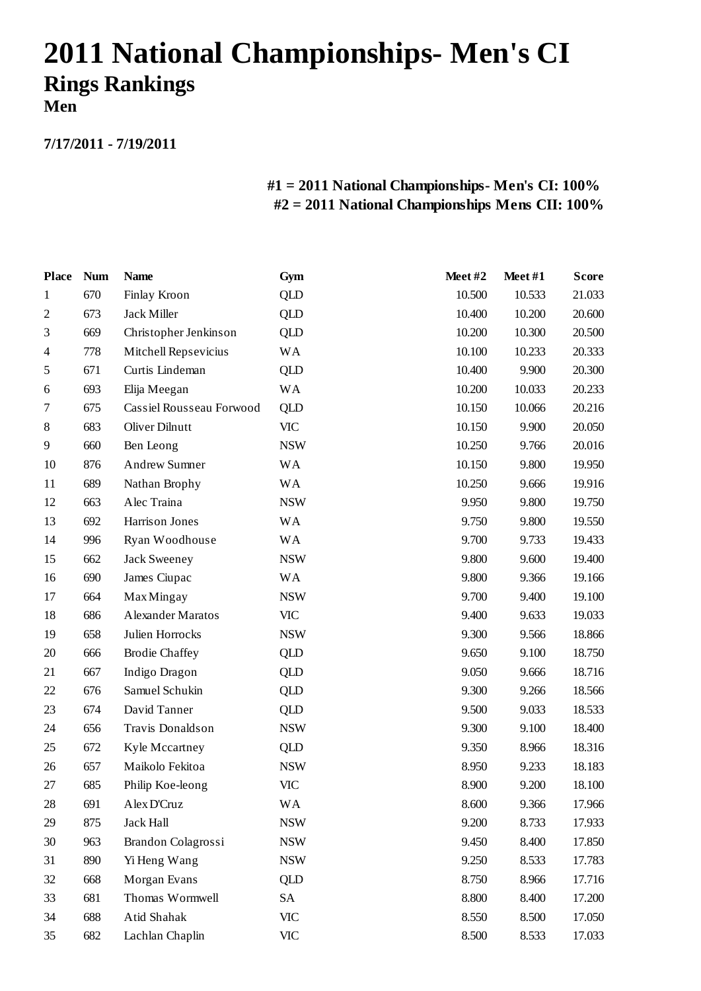# **2011 National Championships- Men's CI Rings Rankings Men**

**7/17/2011 - 7/19/2011**

| <b>Place</b>   | <b>Num</b> | <b>Name</b>              | Gym        | Meet#2 | Meet#1 | <b>Score</b> |
|----------------|------------|--------------------------|------------|--------|--------|--------------|
| 1              | 670        | Finlay Kroon             | <b>QLD</b> | 10.500 | 10.533 | 21.033       |
| $\mathfrak{2}$ | 673        | Jack Miller              | QLD        | 10.400 | 10.200 | 20.600       |
| 3              | 669        | Christopher Jenkinson    | <b>QLD</b> | 10.200 | 10.300 | 20.500       |
| 4              | 778        | Mitchell Repsevicius     | WA         | 10.100 | 10.233 | 20.333       |
| 5              | 671        | Curtis Lindeman          | QLD        | 10.400 | 9.900  | 20.300       |
| 6              | 693        | Elija Meegan             | <b>WA</b>  | 10.200 | 10.033 | 20.233       |
| 7              | 675        | Cassiel Rousseau Forwood | <b>QLD</b> | 10.150 | 10.066 | 20.216       |
| 8              | 683        | Oliver Dilnutt           | <b>VIC</b> | 10.150 | 9.900  | 20.050       |
| 9              | 660        | Ben Leong                | <b>NSW</b> | 10.250 | 9.766  | 20.016       |
| 10             | 876        | Andrew Sumner            | <b>WA</b>  | 10.150 | 9.800  | 19.950       |
| 11             | 689        | Nathan Brophy            | <b>WA</b>  | 10.250 | 9.666  | 19.916       |
| 12             | 663        | Alec Traina              | <b>NSW</b> | 9.950  | 9.800  | 19.750       |
| 13             | 692        | Harrison Jones           | <b>WA</b>  | 9.750  | 9.800  | 19.550       |
| 14             | 996        | Ryan Woodhouse           | <b>WA</b>  | 9.700  | 9.733  | 19.433       |
| 15             | 662        | <b>Jack Sweeney</b>      | <b>NSW</b> | 9.800  | 9.600  | 19.400       |
| 16             | 690        | James Ciupac             | <b>WA</b>  | 9.800  | 9.366  | 19.166       |
| 17             | 664        | <b>Max Mingay</b>        | <b>NSW</b> | 9.700  | 9.400  | 19.100       |
| 18             | 686        | Alexander Maratos        | <b>VIC</b> | 9.400  | 9.633  | 19.033       |
| 19             | 658        | Julien Horrocks          | <b>NSW</b> | 9.300  | 9.566  | 18.866       |
| 20             | 666        | <b>Brodie Chaffey</b>    | <b>QLD</b> | 9.650  | 9.100  | 18.750       |
| 21             | 667        | Indigo Dragon            | <b>QLD</b> | 9.050  | 9.666  | 18.716       |
| 22             | 676        | Samuel Schukin           | QLD        | 9.300  | 9.266  | 18.566       |
| 23             | 674        | David Tanner             | <b>QLD</b> | 9.500  | 9.033  | 18.533       |
| 24             | 656        | Travis Donaldson         | <b>NSW</b> | 9.300  | 9.100  | 18.400       |
| 25             | 672        | Kyle Mccartney           | QLD        | 9.350  | 8.966  | 18.316       |
| 26             | 657        | Maikolo Fekitoa          | <b>NSW</b> | 8.950  | 9.233  | 18.183       |
| 27             | 685        | Philip Koe-leong         | <b>VIC</b> | 8.900  | 9.200  | 18.100       |
| 28             | 691        | Alex D'Cruz              | WА         | 8.600  | 9.366  | 17.966       |
| 29             | 875        | <b>Jack Hall</b>         | <b>NSW</b> | 9.200  | 8.733  | 17.933       |
| 30             | 963        | Brandon Colagrossi       | <b>NSW</b> | 9.450  | 8.400  | 17.850       |
| 31             | 890        | Yi Heng Wang             | <b>NSW</b> | 9.250  | 8.533  | 17.783       |
| 32             | 668        | Morgan Evans             | QLD        | 8.750  | 8.966  | 17.716       |
| 33             | 681        | Thomas Wormwell          | SA         | 8.800  | 8.400  | 17.200       |
| 34             | 688        | Atid Shahak              | <b>VIC</b> | 8.550  | 8.500  | 17.050       |
| 35             | 682        | Lachlan Chaplin          | <b>VIC</b> | 8.500  | 8.533  | 17.033       |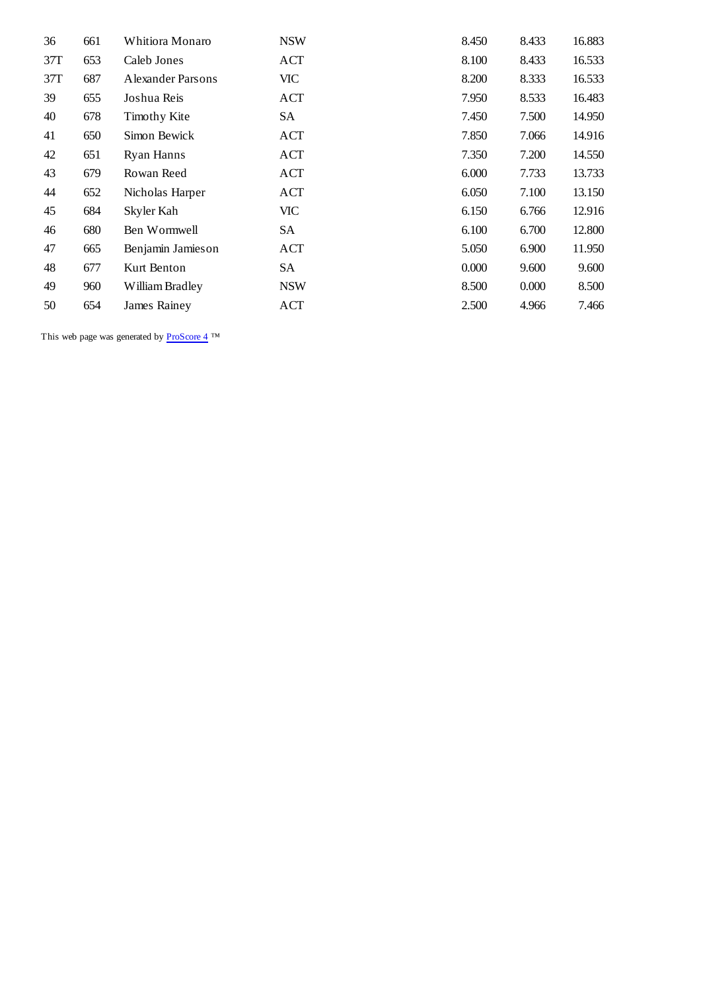| 36  | 661 | Whitiora Monaro   | <b>NSW</b> | 8.450 | 8.433 | 16.883 |
|-----|-----|-------------------|------------|-------|-------|--------|
| 37T | 653 | Caleb Jones       | <b>ACT</b> | 8.100 | 8.433 | 16.533 |
| 37T | 687 | Alexander Parsons | VIC-       | 8.200 | 8.333 | 16.533 |
| 39  | 655 | Joshua Reis       | ACT        | 7.950 | 8.533 | 16.483 |
| 40  | 678 | Timothy Kite      | SА         | 7.450 | 7.500 | 14.950 |
| 41  | 650 | Simon Bewick      | <b>ACT</b> | 7.850 | 7.066 | 14.916 |
| 42  | 651 | <b>Ryan Hanns</b> | ACT        | 7.350 | 7.200 | 14.550 |
| 43  | 679 | Rowan Reed        | ACT        | 6.000 | 7.733 | 13.733 |
| 44  | 652 | Nicholas Harper   | <b>ACT</b> | 6.050 | 7.100 | 13.150 |
| 45  | 684 | Skyler Kah        | VIC        | 6.150 | 6.766 | 12.916 |
| 46  | 680 | Ben Wormwell      | SА         | 6.100 | 6.700 | 12.800 |
| 47  | 665 | Benjamin Jamieson | ACT        | 5.050 | 6.900 | 11.950 |
| 48  | 677 | Kurt Benton       | SA         | 0.000 | 9.600 | 9.600  |
| 49  | 960 | William Bradley   | <b>NSW</b> | 8.500 | 0.000 | 8.500  |
| 50  | 654 | James Rainey      | <b>ACT</b> | 2.500 | 4.966 | 7.466  |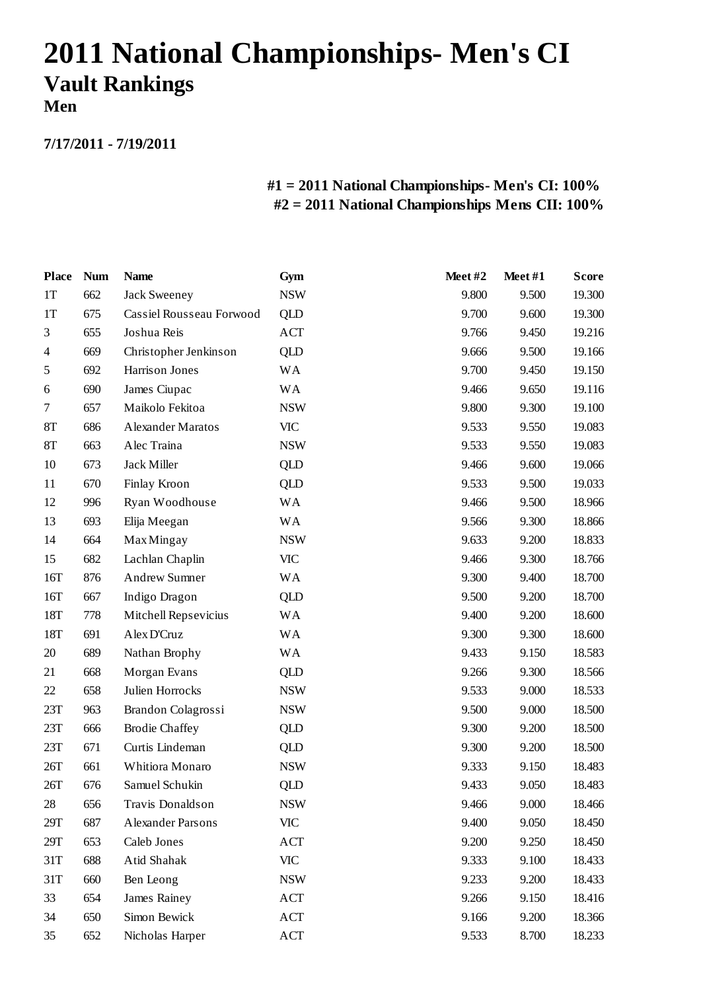# **2011 National Championships- Men's CI Vault Rankings Men**

**7/17/2011 - 7/19/2011**

| <b>Place</b>   | <b>Num</b> | <b>Name</b>              | Gym        | Meet#2 | Meet#1 | <b>Score</b> |
|----------------|------------|--------------------------|------------|--------|--------|--------------|
| 1T             | 662        | Jack Sweeney             | <b>NSW</b> | 9.800  | 9.500  | 19.300       |
| 1T             | 675        | Cassiel Rousseau Forwood | <b>QLD</b> | 9.700  | 9.600  | 19.300       |
| 3              | 655        | Joshua Reis              | ACT        | 9.766  | 9.450  | 19.216       |
| $\overline{4}$ | 669        | Christopher Jenkinson    | <b>QLD</b> | 9.666  | 9.500  | 19.166       |
| 5              | 692        | Harrison Jones           | <b>WA</b>  | 9.700  | 9.450  | 19.150       |
| 6              | 690        | James Ciupac             | WA         | 9.466  | 9.650  | 19.116       |
| $\tau$         | 657        | Maikolo Fekitoa          | <b>NSW</b> | 9.800  | 9.300  | 19.100       |
| 8T             | 686        | Alexander Maratos        | <b>VIC</b> | 9.533  | 9.550  | 19.083       |
| 8T             | 663        | Alec Traina              | <b>NSW</b> | 9.533  | 9.550  | 19.083       |
| 10             | 673        | Jack Miller              | <b>QLD</b> | 9.466  | 9.600  | 19.066       |
| 11             | 670        | Finlay Kroon             | QLD        | 9.533  | 9.500  | 19.033       |
| 12             | 996        | Ryan Woodhouse           | <b>WA</b>  | 9.466  | 9.500  | 18.966       |
| 13             | 693        | Elija Meegan             | <b>WA</b>  | 9.566  | 9.300  | 18.866       |
| 14             | 664        | <b>Max Mingay</b>        | <b>NSW</b> | 9.633  | 9.200  | 18.833       |
| 15             | 682        | Lachlan Chaplin          | <b>VIC</b> | 9.466  | 9.300  | 18.766       |
| 16T            | 876        | <b>Andrew Sumner</b>     | <b>WA</b>  | 9.300  | 9.400  | 18.700       |
| 16T            | 667        | Indigo Dragon            | QLD        | 9.500  | 9.200  | 18.700       |
| 18T            | 778        | Mitchell Repsevicius     | <b>WA</b>  | 9.400  | 9.200  | 18.600       |
| 18T            | 691        | Alex D'Cruz              | <b>WA</b>  | 9.300  | 9.300  | 18.600       |
| 20             | 689        | Nathan Brophy            | <b>WA</b>  | 9.433  | 9.150  | 18.583       |
| 21             | 668        | Morgan Evans             | QLD        | 9.266  | 9.300  | 18.566       |
| 22             | 658        | Julien Horrocks          | <b>NSW</b> | 9.533  | 9.000  | 18.533       |
| 23T            | 963        | Brandon Colagrossi       | <b>NSW</b> | 9.500  | 9.000  | 18.500       |
| 23T            | 666        | <b>Brodie Chaffey</b>    | QLD        | 9.300  | 9.200  | 18.500       |
| 23T            | 671        | Curtis Lindeman          | QLD        | 9.300  | 9.200  | 18.500       |
| 26T            | 661        | Whitiora Monaro          | <b>NSW</b> | 9.333  | 9.150  | 18.483       |
| 26T            | 676        | Samuel Schukin           | <b>QLD</b> | 9.433  | 9.050  | 18.483       |
| 28             | 656        | Travis Donaldson         | <b>NSW</b> | 9.466  | 9.000  | 18.466       |
| 29T            | 687        | Alexander Parsons        | <b>VIC</b> | 9.400  | 9.050  | 18.450       |
| 29T            | 653        | Caleb Jones              | ACT        | 9.200  | 9.250  | 18.450       |
| 31T            | 688        | Atid Shahak              | <b>VIC</b> | 9.333  | 9.100  | 18.433       |
| 31T            | 660        | Ben Leong                | <b>NSW</b> | 9.233  | 9.200  | 18.433       |
| 33             | 654        | James Rainey             | ACT        | 9.266  | 9.150  | 18.416       |
| 34             | 650        | Simon Bewick             | ACT        | 9.166  | 9.200  | 18.366       |
| 35             | 652        | Nicholas Harper          | ACT        | 9.533  | 8.700  | 18.233       |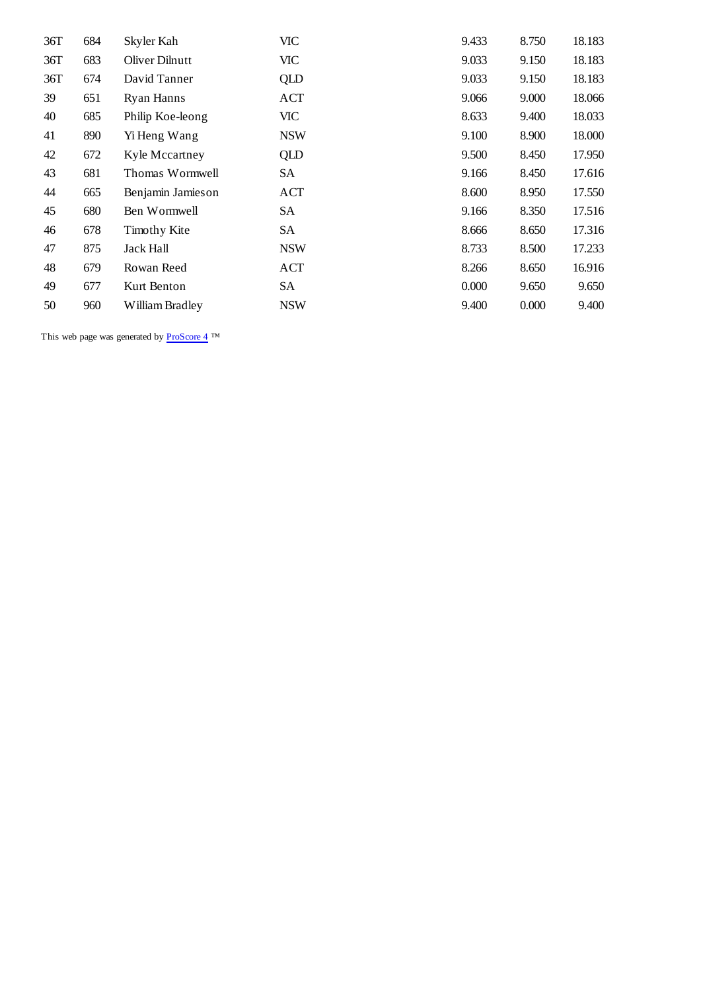| 36T | 684 | Skyler Kah        | <b>VIC</b> | 9.433 | 8.750 | 18.183 |
|-----|-----|-------------------|------------|-------|-------|--------|
| 36T | 683 | Oliver Dilnutt    | VIC        | 9.033 | 9.150 | 18.183 |
| 36T | 674 | David Tanner      | QLD        | 9.033 | 9.150 | 18.183 |
| 39  | 651 | <b>Ryan Hanns</b> | ACT        | 9.066 | 9.000 | 18.066 |
| 40  | 685 | Philip Koe-leong  | VIC        | 8.633 | 9.400 | 18.033 |
| 41  | 890 | Yi Heng Wang      | <b>NSW</b> | 9.100 | 8.900 | 18.000 |
| 42  | 672 | Kyle Mccartney    | QLD        | 9.500 | 8.450 | 17.950 |
| 43  | 681 | Thomas Wormwell   | SA         | 9.166 | 8.450 | 17.616 |
| 44  | 665 | Benjamin Jamieson | ACT        | 8.600 | 8.950 | 17.550 |
| 45  | 680 | Ben Wormwell      | SA         | 9.166 | 8.350 | 17.516 |
| 46  | 678 | Timothy Kite      | SA         | 8.666 | 8.650 | 17.316 |
| 47  | 875 | Jack Hall         | <b>NSW</b> | 8.733 | 8.500 | 17.233 |
| 48  | 679 | Rowan Reed        | ACT        | 8.266 | 8.650 | 16.916 |
| 49  | 677 | Kurt Benton       | SA         | 0.000 | 9.650 | 9.650  |
| 50  | 960 | William Bradley   | <b>NSW</b> | 9.400 | 0.000 | 9.400  |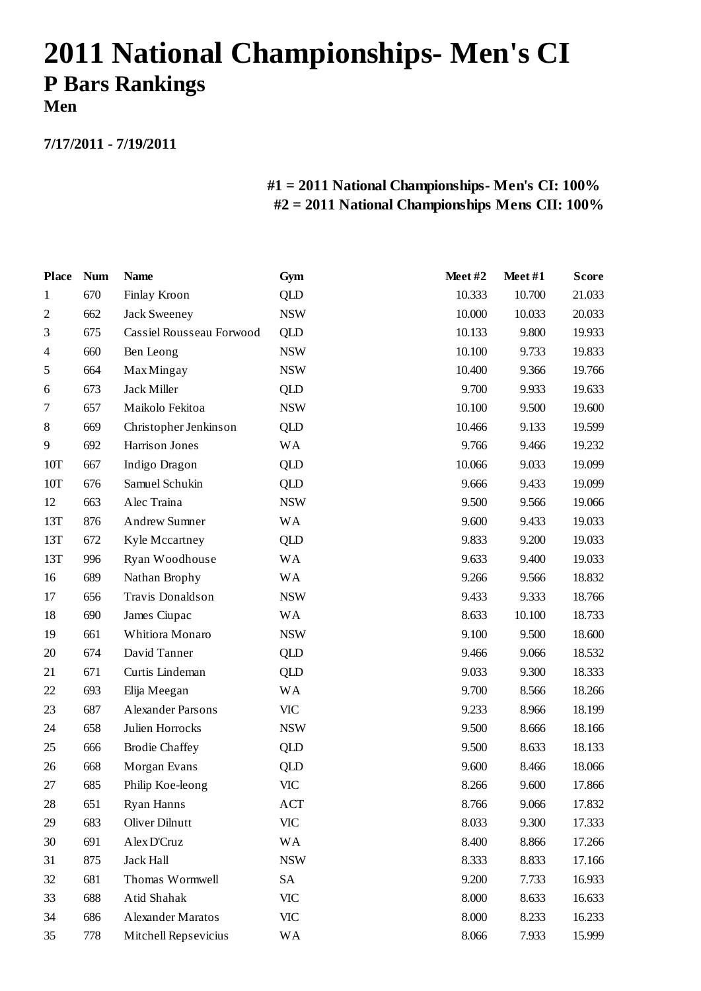# **2011 National Championships- Men's CI P Bars Rankings Men**

**7/17/2011 - 7/19/2011**

| <b>Place</b>   | <b>Num</b> | <b>Name</b>              | Gym                       | Meet#2 | Meet#1 | <b>Score</b> |
|----------------|------------|--------------------------|---------------------------|--------|--------|--------------|
| 1              | 670        | Finlay Kroon             | <b>QLD</b>                | 10.333 | 10.700 | 21.033       |
| $\mathfrak{2}$ | 662        | Jack Sweeney             | <b>NSW</b>                | 10.000 | 10.033 | 20.033       |
| 3              | 675        | Cassiel Rousseau Forwood | QLD                       | 10.133 | 9.800  | 19.933       |
| $\overline{4}$ | 660        | Ben Leong                | <b>NSW</b>                | 10.100 | 9.733  | 19.833       |
| 5              | 664        | <b>Max Mingay</b>        | <b>NSW</b>                | 10.400 | 9.366  | 19.766       |
| 6              | 673        | Jack Miller              | QLD                       | 9.700  | 9.933  | 19.633       |
| 7              | 657        | Maikolo Fekitoa          | <b>NSW</b>                | 10.100 | 9.500  | 19.600       |
| 8              | 669        | Christopher Jenkinson    | <b>QLD</b>                | 10.466 | 9.133  | 19.599       |
| 9              | 692        | Harrison Jones           | <b>WA</b>                 | 9.766  | 9.466  | 19.232       |
| 10T            | 667        | Indigo Dragon            | <b>QLD</b>                | 10.066 | 9.033  | 19.099       |
| 10T            | 676        | Samuel Schukin           | QLD                       | 9.666  | 9.433  | 19.099       |
| 12             | 663        | Alec Traina              | <b>NSW</b>                | 9.500  | 9.566  | 19.066       |
| 13T            | 876        | Andrew Sumner            | <b>WA</b>                 | 9.600  | 9.433  | 19.033       |
| 13T            | 672        | Kyle Mccartney           | QLD                       | 9.833  | 9.200  | 19.033       |
| 13T            | 996        | Ryan Woodhouse           | <b>WA</b>                 | 9.633  | 9.400  | 19.033       |
| 16             | 689        | Nathan Brophy            | <b>WA</b>                 | 9.266  | 9.566  | 18.832       |
| 17             | 656        | Travis Donaldson         | <b>NSW</b>                | 9.433  | 9.333  | 18.766       |
| 18             | 690        | James Ciupac             | <b>WA</b>                 | 8.633  | 10.100 | 18.733       |
| 19             | 661        | Whitiora Monaro          | <b>NSW</b>                | 9.100  | 9.500  | 18.600       |
| 20             | 674        | David Tanner             | QLD                       | 9.466  | 9.066  | 18.532       |
| 21             | 671        | Curtis Lindeman          | <b>QLD</b>                | 9.033  | 9.300  | 18.333       |
| 22             | 693        | Elija Meegan             | <b>WA</b>                 | 9.700  | 8.566  | 18.266       |
| 23             | 687        | Alexander Parsons        | <b>VIC</b>                | 9.233  | 8.966  | 18.199       |
| 24             | 658        | Julien Horrocks          | <b>NSW</b>                | 9.500  | 8.666  | 18.166       |
| 25             | 666        | <b>Brodie Chaffey</b>    | QLD                       | 9.500  | 8.633  | 18.133       |
| 26             | 668        | Morgan Evans             | QLD                       | 9.600  | 8.466  | 18.066       |
| 27             | 685        | Philip Koe-leong         | <b>VIC</b>                | 8.266  | 9.600  | 17.866       |
| 28             | 651        | Ryan Hanns               | ACT                       | 8.766  | 9.066  | 17.832       |
| 29             | 683        | <b>Oliver Dilnutt</b>    | $\ensuremath{\text{VIC}}$ | 8.033  | 9.300  | 17.333       |
| 30             | 691        | Alex D'Cruz              | <b>WA</b>                 | 8.400  | 8.866  | 17.266       |
| 31             | 875        | <b>Jack Hall</b>         | <b>NSW</b>                | 8.333  | 8.833  | 17.166       |
| 32             | 681        | Thomas Wormwell          | SA                        | 9.200  | 7.733  | 16.933       |
| 33             | 688        | Atid Shahak              | <b>VIC</b>                | 8.000  | 8.633  | 16.633       |
| 34             | 686        | Alexander Maratos        | <b>VIC</b>                | 8.000  | 8.233  | 16.233       |
| 35             | 778        | Mitchell Repsevicius     | WA                        | 8.066  | 7.933  | 15.999       |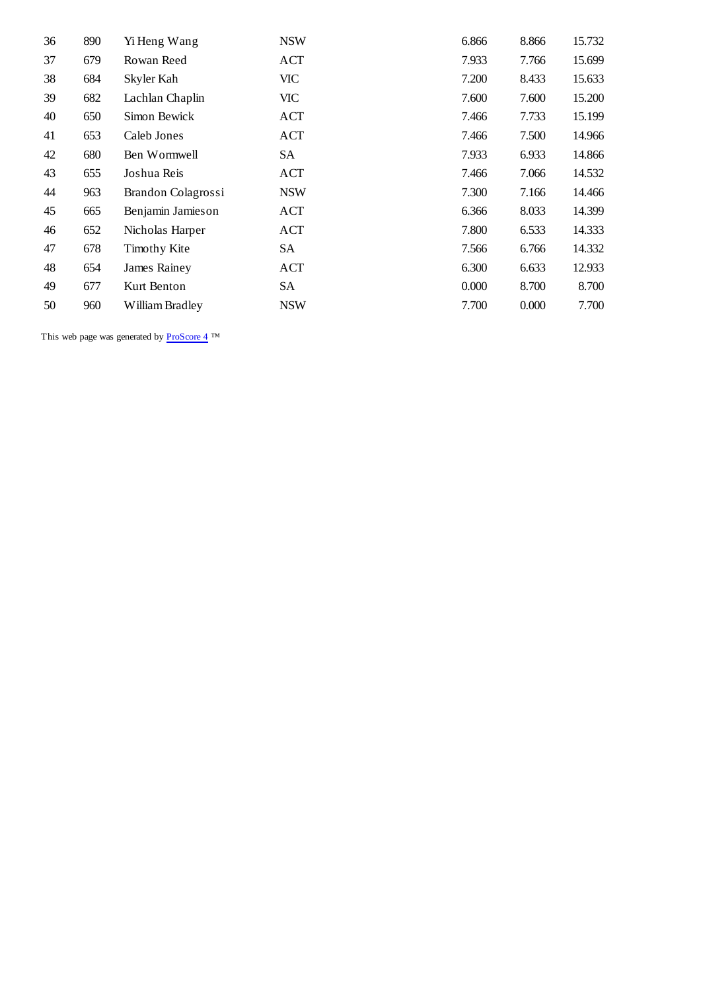| 36 | 890 | Yi Heng Wang       | <b>NSW</b> | 6.866 | 8.866 | 15.732 |
|----|-----|--------------------|------------|-------|-------|--------|
| 37 | 679 | Rowan Reed         | <b>ACT</b> | 7.933 | 7.766 | 15.699 |
| 38 | 684 | Skyler Kah         | VIC        | 7.200 | 8.433 | 15.633 |
| 39 | 682 | Lachlan Chaplin    | VIC        | 7.600 | 7.600 | 15.200 |
| 40 | 650 | Simon Bewick       | ACT        | 7.466 | 7.733 | 15.199 |
| 41 | 653 | Caleb Jones        | ACT        | 7.466 | 7.500 | 14.966 |
| 42 | 680 | Ben Wormwell       | SA         | 7.933 | 6.933 | 14.866 |
| 43 | 655 | Joshua Reis        | ACT        | 7.466 | 7.066 | 14.532 |
| 44 | 963 | Brandon Colagrossi | <b>NSW</b> | 7.300 | 7.166 | 14.466 |
| 45 | 665 | Benjamin Jamieson  | ACT        | 6.366 | 8.033 | 14.399 |
| 46 | 652 | Nicholas Harper    | ACT        | 7.800 | 6.533 | 14.333 |
| 47 | 678 | Timothy Kite       | SA         | 7.566 | 6.766 | 14.332 |
| 48 | 654 | James Rainey       | ACT        | 6.300 | 6.633 | 12.933 |
| 49 | 677 | Kurt Benton        | SA         | 0.000 | 8.700 | 8.700  |
| 50 | 960 | William Bradley    | <b>NSW</b> | 7.700 | 0.000 | 7.700  |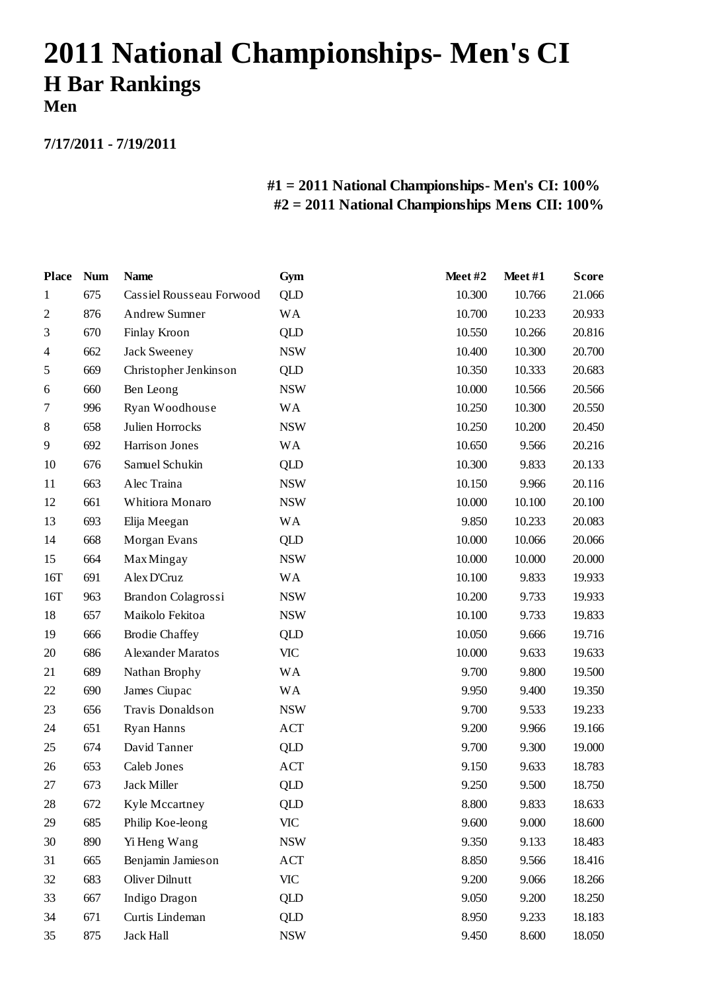# **2011 National Championships- Men's CI H Bar Rankings Men**

**7/17/2011 - 7/19/2011**

| <b>Place</b>   | <b>Num</b> | <b>Name</b>              | Gym        | Meet#2 | Meet#1 | <b>Score</b> |
|----------------|------------|--------------------------|------------|--------|--------|--------------|
| 1              | 675        | Cassiel Rousseau Forwood | QLD        | 10.300 | 10.766 | 21.066       |
| $\mathfrak{2}$ | 876        | <b>Andrew Sumner</b>     | <b>WA</b>  | 10.700 | 10.233 | 20.933       |
| 3              | 670        | Finlay Kroon             | <b>QLD</b> | 10.550 | 10.266 | 20.816       |
| 4              | 662        | <b>Jack Sweeney</b>      | <b>NSW</b> | 10.400 | 10.300 | 20.700       |
| 5              | 669        | Christopher Jenkinson    | <b>QLD</b> | 10.350 | 10.333 | 20.683       |
| 6              | 660        | Ben Leong                | <b>NSW</b> | 10.000 | 10.566 | 20.566       |
| 7              | 996        | Ryan Woodhouse           | <b>WA</b>  | 10.250 | 10.300 | 20.550       |
| 8              | 658        | Julien Horrocks          | <b>NSW</b> | 10.250 | 10.200 | 20.450       |
| 9              | 692        | Harrison Jones           | WA         | 10.650 | 9.566  | 20.216       |
| 10             | 676        | Samuel Schukin           | QLD        | 10.300 | 9.833  | 20.133       |
| 11             | 663        | Alec Traina              | <b>NSW</b> | 10.150 | 9.966  | 20.116       |
| 12             | 661        | Whitiora Monaro          | <b>NSW</b> | 10.000 | 10.100 | 20.100       |
| 13             | 693        | Elija Meegan             | <b>WA</b>  | 9.850  | 10.233 | 20.083       |
| 14             | 668        | Morgan Evans             | <b>QLD</b> | 10.000 | 10.066 | 20.066       |
| 15             | 664        | <b>Max Mingay</b>        | <b>NSW</b> | 10.000 | 10.000 | 20.000       |
| 16T            | 691        | Alex D'Cruz              | <b>WA</b>  | 10.100 | 9.833  | 19.933       |
| 16T            | 963        | Brandon Colagrossi       | <b>NSW</b> | 10.200 | 9.733  | 19.933       |
| 18             | 657        | Maikolo Fekitoa          | <b>NSW</b> | 10.100 | 9.733  | 19.833       |
| 19             | 666        | <b>Brodie Chaffey</b>    | <b>QLD</b> | 10.050 | 9.666  | 19.716       |
| 20             | 686        | <b>Alexander Maratos</b> | <b>VIC</b> | 10.000 | 9.633  | 19.633       |
| 21             | 689        | Nathan Brophy            | WA         | 9.700  | 9.800  | 19.500       |
| 22             | 690        | James Ciupac             | <b>WA</b>  | 9.950  | 9.400  | 19.350       |
| 23             | 656        | Travis Donaldson         | <b>NSW</b> | 9.700  | 9.533  | 19.233       |
| 24             | 651        | Ryan Hanns               | ACT        | 9.200  | 9.966  | 19.166       |
| 25             | 674        | David Tanner             | QLD        | 9.700  | 9.300  | 19.000       |
| 26             | 653        | Caleb Jones              | ACT        | 9.150  | 9.633  | 18.783       |
| 27             | 673        | Jack Miller              | <b>QLD</b> | 9.250  | 9.500  | 18.750       |
| 28             | 672        | <b>Kyle Mccartney</b>    | <b>QLD</b> | 8.800  | 9.833  | 18.633       |
| 29             | 685        | Philip Koe-leong         | <b>VIC</b> | 9.600  | 9.000  | 18.600       |
| 30             | 890        | Yi Heng Wang             | <b>NSW</b> | 9.350  | 9.133  | 18.483       |
| 31             | 665        | Benjamin Jamieson        | ACT        | 8.850  | 9.566  | 18.416       |
| 32             | 683        | Oliver Dilnutt           | VIC        | 9.200  | 9.066  | 18.266       |
| 33             | 667        | Indigo Dragon            | <b>QLD</b> | 9.050  | 9.200  | 18.250       |
| 34             | 671        | Curtis Lindeman          | <b>QLD</b> | 8.950  | 9.233  | 18.183       |
| 35             | 875        | Jack Hall                | <b>NSW</b> | 9.450  | 8.600  | 18.050       |